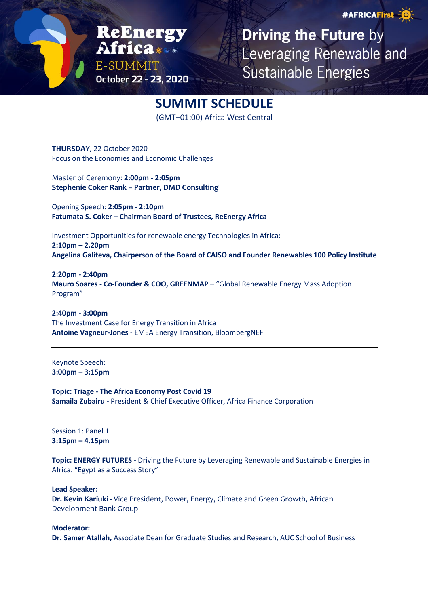#AFRICAFirst -0

ReEnerg E-SUMMIT October 22 - 23, 2020

**Driving the Future by** Leveraging Renewable and **Sustainable Energies** 

## **SUMMIT SCHEDULE**

(GMT+01:00) Africa West Central

**THURSDAY**, 22 October 2020 Focus on the Economies and Economic Challenges

Master of Ceremony: **2:00pm - 2:05pm Stephenie Coker Rank – Partner, DMD Consulting**

Opening Speech: **2:05pm - 2:10pm Fatumata S. Coker – Chairman Board of Trustees, ReEnergy Africa**

Investment Opportunities for renewable energy Technologies in Africa: **2:10pm – 2.20pm Angelina Galiteva, Chairperson of the Board of CAISO and Founder Renewables 100 Policy Institute**

**2:20pm - 2:40pm Mauro Soares - Co-Founder & COO, GREENMAP** – "Global Renewable Energy Mass Adoption Program"

**2:40pm - 3:00pm** The Investment Case for Energy Transition in Africa **Antoine Vagneur-Jones** - EMEA Energy Transition, BloombergNEF

Keynote Speech: **3:00pm – 3:15pm**

**Topic: Triage - The Africa Economy Post Covid 19 Samaila Zubairu -** President & Chief Executive Officer, Africa Finance Corporation

Session 1: Panel 1 **3:15pm – 4.15pm**

**Topic: ENERGY FUTURES -** Driving the Future by Leveraging Renewable and Sustainable Energies in Africa. "Egypt as a Success Story"

**Lead Speaker:**

**Dr. Kevin Kariuki -** Vice President, Power, Energy, Climate and Green Growth, African Development Bank Group

**Moderator: Dr. Samer Atallah,** Associate Dean for Graduate Studies and Research, AUC School of Business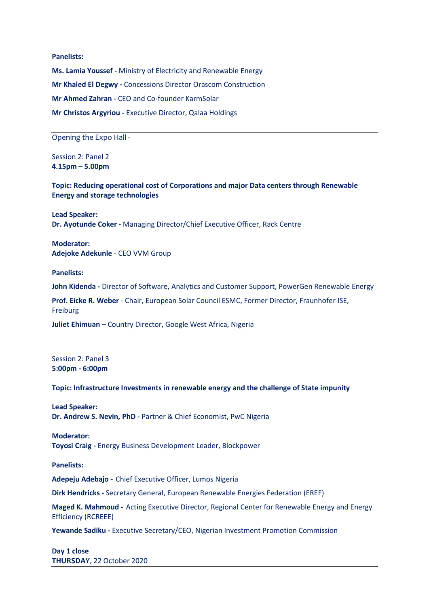**Panelists: Ms. Lamia Youssef -** Ministry of Electricity and Renewable Energy **Mr Khaled El Degwy -** Concessions Director Orascom Construction **Mr Ahmed Zahran -** CEO and Co-founder KarmSolar **Mr Christos Argyriou -** Executive Director, Qalaa Holdings

Opening the Expo Hall -

Session 2: Panel 2 **4.15pm – 5.00pm**

**Topic: Reducing operational cost of Corporations and major Data centers through Renewable Energy and storage technologies**

**Lead Speaker: Dr. Ayotunde Coker -** Managing Director/Chief Executive Officer, Rack Centre

**Moderator: Adejoke Adekunle** - CEO VVM Group

**Panelists:**

**John Kidenda -** Director of Software, Analytics and Customer Support, PowerGen Renewable Energy

**Prof. Eicke R. Weber** - Chair, European Solar Council ESMC, Former Director, Fraunhofer ISE, Freiburg

**Juliet Ehimuan** – Country Director, Google West Africa, Nigeria

Session 2: Panel 3 **5:00pm - 6:00pm**

**Topic: Infrastructure Investments in renewable energy and the challenge of State impunity**

**Lead Speaker: Dr. Andrew S. Nevin, PhD -** Partner & Chief Economist, PwC Nigeria

**Moderator: Toyosi Craig -** Energy Business Development Leader, Blockpower

**Panelists:**

**Adepeju Adebajo -** Chief Executive Officer, Lumos Nigeria

**Dirk Hendricks -** Secretary General, European Renewable Energies Federation (EREF)

**Maged K. Mahmoud -** Acting Executive Director, Regional Center for Renewable Energy and Energy Efficiency (RCREEE)

**Yewande Sadiku -** Executive Secretary/CEO, Nigerian Investment Promotion Commission

**Day 1 close THURSDAY**, 22 October 2020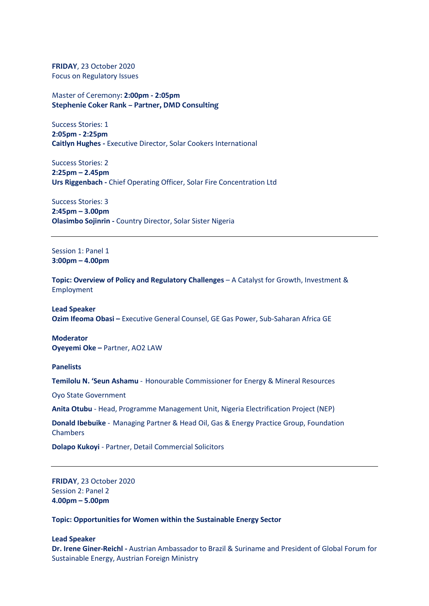**FRIDAY**, 23 October 2020 Focus on Regulatory Issues

Master of Ceremony: **2:00pm - 2:05pm Stephenie Coker Rank – Partner, DMD Consulting**

Success Stories: 1 **2:05pm - 2:25pm Caitlyn Hughes -** Executive Director, Solar Cookers International

Success Stories: 2 **2:25pm – 2.45pm Urs Riggenbach -** Chief Operating Officer, Solar Fire Concentration Ltd

Success Stories: 3 **2:45pm – 3.00pm Olasimbo Sojinrin -** Country Director, Solar Sister Nigeria

Session 1: Panel 1 **3:00pm – 4.00pm**

**Topic: Overview of Policy and Regulatory Challenges** – A Catalyst for Growth, Investment & Employment

**Lead Speaker Ozim Ifeoma Obasi –** Executive General Counsel, GE Gas Power, Sub-Saharan Africa GE

**Moderator Oyeyemi Oke –** Partner, AO2 LAW

**Panelists**

**Temilolu N. 'Seun Ashamu** - Honourable Commissioner for Energy & Mineral Resources

Oyo State Government

**Anita Otubu** - Head, Programme Management Unit, Nigeria Electrification Project (NEP)

**Donald Ibebuike** - Managing Partner & Head Oil, Gas & Energy Practice Group, Foundation **Chambers** 

**Dolapo Kukoyi** - Partner, Detail Commercial Solicitors

**FRIDAY**, 23 October 2020 Session 2: Panel 2 **4.00pm – 5.00pm**

**Topic: Opportunities for Women within the Sustainable Energy Sector**

## **Lead Speaker**

**Dr. Irene Giner-Reichl -** Austrian Ambassador to Brazil & Suriname and President of Global Forum for Sustainable Energy, Austrian Foreign Ministry